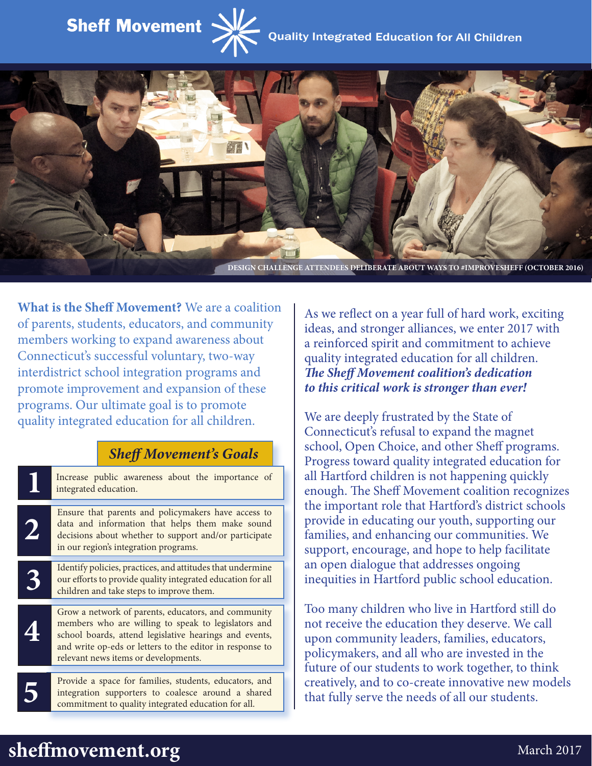# **Sheff Movement**



**What is the Sheff Movement?** We are a coalition of parents, students, educators, and community members working to expand awareness about Connecticut's successful voluntary, two-way interdistrict school integration programs and promote improvement and expansion of these programs. Our ultimate goal is to promote quality integrated education for all children.

#### *Sheff Movement's Goals*

|   | Increase public awareness about the importance of<br>integrated education.                                                                                                                                                                                               |
|---|--------------------------------------------------------------------------------------------------------------------------------------------------------------------------------------------------------------------------------------------------------------------------|
|   | Ensure that parents and policymakers have access to<br>data and information that helps them make sound<br>decisions about whether to support and/or participate<br>in our region's integration programs.                                                                 |
| 3 | Identify policies, practices, and attitudes that undermine<br>our efforts to provide quality integrated education for all<br>children and take steps to improve them.                                                                                                    |
|   | Grow a network of parents, educators, and community<br>members who are willing to speak to legislators and<br>school boards, attend legislative hearings and events,<br>and write op-eds or letters to the editor in response to<br>relevant news items or developments. |
|   | Provide a space for families, students, educators, and<br>integration supporters to coalesce around a shared<br>commitment to quality integrated education for all.                                                                                                      |

As we reflect on a year full of hard work, exciting ideas, and stronger alliances, we enter 2017 with a reinforced spirit and commitment to achieve quality integrated education for all children. *The Sheff Movement coalition's dedication to this critical work is stronger than ever!* 

We are deeply frustrated by the State of Connecticut's refusal to expand the magnet school, Open Choice, and other Sheff programs. Progress toward quality integrated education for all Hartford children is not happening quickly enough. The Sheff Movement coalition recognizes the important role that Hartford's district schools provide in educating our youth, supporting our families, and enhancing our communities. We support, encourage, and hope to help facilitate an open dialogue that addresses ongoing inequities in Hartford public school education.

Too many children who live in Hartford still do not receive the education they deserve. We call upon community leaders, families, educators, policymakers, and all who are invested in the future of our students to work together, to think creatively, and to co-create innovative new models that fully serve the needs of all our students.

## **sheffmovement.org** March 2017